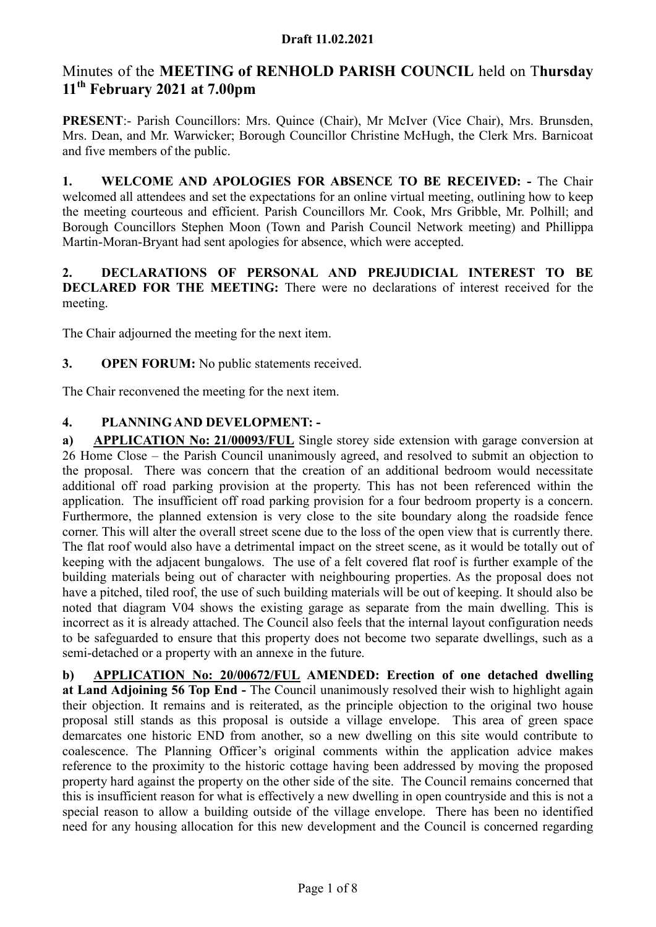# Minutes of the MEETING of RENHOLD PARISH COUNCIL held on Thursday 11<sup>th</sup> February 2021 at 7.00pm

PRESENT:- Parish Councillors: Mrs. Quince (Chair), Mr McIver (Vice Chair), Mrs. Brunsden, Mrs. Dean, and Mr. Warwicker; Borough Councillor Christine McHugh, the Clerk Mrs. Barnicoat and five members of the public.

1. WELCOME AND APOLOGIES FOR ABSENCE TO BE RECEIVED: - The Chair welcomed all attendees and set the expectations for an online virtual meeting, outlining how to keep the meeting courteous and efficient. Parish Councillors Mr. Cook, Mrs Gribble, Mr. Polhill; and Borough Councillors Stephen Moon (Town and Parish Council Network meeting) and Phillippa Martin-Moran-Bryant had sent apologies for absence, which were accepted.

### 2. DECLARATIONS OF PERSONAL AND PREJUDICIAL INTEREST TO BE DECLARED FOR THE MEETING: There were no declarations of interest received for the meeting.

The Chair adjourned the meeting for the next item.

3. OPEN FORUM: No public statements received.

The Chair reconvened the meeting for the next item.

# 4. PLANNING AND DEVELOPMENT: -

a) APPLICATION No: 21/00093/FUL Single storey side extension with garage conversion at 26 Home Close – the Parish Council unanimously agreed, and resolved to submit an objection to the proposal. There was concern that the creation of an additional bedroom would necessitate additional off road parking provision at the property. This has not been referenced within the application. The insufficient off road parking provision for a four bedroom property is a concern. Furthermore, the planned extension is very close to the site boundary along the roadside fence corner. This will alter the overall street scene due to the loss of the open view that is currently there. The flat roof would also have a detrimental impact on the street scene, as it would be totally out of keeping with the adjacent bungalows. The use of a felt covered flat roof is further example of the building materials being out of character with neighbouring properties. As the proposal does not have a pitched, tiled roof, the use of such building materials will be out of keeping. It should also be noted that diagram V04 shows the existing garage as separate from the main dwelling. This is incorrect as it is already attached. The Council also feels that the internal layout configuration needs to be safeguarded to ensure that this property does not become two separate dwellings, such as a semi-detached or a property with an annexe in the future.

b) APPLICATION No: 20/00672/FUL AMENDED: Erection of one detached dwelling at Land Adjoining 56 Top End - The Council unanimously resolved their wish to highlight again their objection. It remains and is reiterated, as the principle objection to the original two house proposal still stands as this proposal is outside a village envelope. This area of green space demarcates one historic END from another, so a new dwelling on this site would contribute to coalescence. The Planning Officer's original comments within the application advice makes reference to the proximity to the historic cottage having been addressed by moving the proposed property hard against the property on the other side of the site. The Council remains concerned that this is insufficient reason for what is effectively a new dwelling in open countryside and this is not a special reason to allow a building outside of the village envelope. There has been no identified need for any housing allocation for this new development and the Council is concerned regarding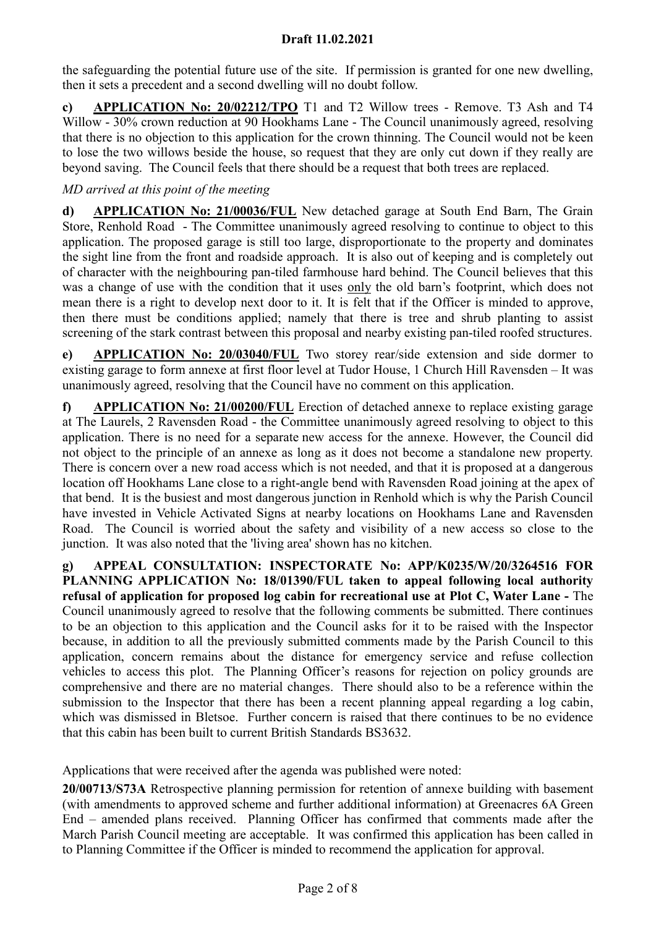the safeguarding the potential future use of the site. If permission is granted for one new dwelling, then it sets a precedent and a second dwelling will no doubt follow.

c) APPLICATION No: 20/02212/TPO T1 and T2 Willow trees - Remove. T3 Ash and T4 Willow - 30% crown reduction at 90 Hookhams Lane - The Council unanimously agreed, resolving that there is no objection to this application for the crown thinning. The Council would not be keen to lose the two willows beside the house, so request that they are only cut down if they really are beyond saving. The Council feels that there should be a request that both trees are replaced.

### MD arrived at this point of the meeting

d) APPLICATION No: 21/00036/FUL New detached garage at South End Barn, The Grain Store, Renhold Road - The Committee unanimously agreed resolving to continue to object to this application. The proposed garage is still too large, disproportionate to the property and dominates the sight line from the front and roadside approach. It is also out of keeping and is completely out of character with the neighbouring pan-tiled farmhouse hard behind. The Council believes that this was a change of use with the condition that it uses only the old barn's footprint, which does not mean there is a right to develop next door to it. It is felt that if the Officer is minded to approve, then there must be conditions applied; namely that there is tree and shrub planting to assist screening of the stark contrast between this proposal and nearby existing pan-tiled roofed structures.

e) APPLICATION No: 20/03040/FUL Two storey rear/side extension and side dormer to existing garage to form annexe at first floor level at Tudor House, 1 Church Hill Ravensden – It was unanimously agreed, resolving that the Council have no comment on this application.

f) APPLICATION No: 21/00200/FUL Erection of detached annexe to replace existing garage at The Laurels, 2 Ravensden Road - the Committee unanimously agreed resolving to object to this application. There is no need for a separate new access for the annexe. However, the Council did not object to the principle of an annexe as long as it does not become a standalone new property. There is concern over a new road access which is not needed, and that it is proposed at a dangerous location off Hookhams Lane close to a right-angle bend with Ravensden Road joining at the apex of that bend. It is the busiest and most dangerous junction in Renhold which is why the Parish Council have invested in Vehicle Activated Signs at nearby locations on Hookhams Lane and Ravensden Road. The Council is worried about the safety and visibility of a new access so close to the junction. It was also noted that the 'living area' shown has no kitchen.

g) APPEAL CONSULTATION: INSPECTORATE No: APP/K0235/W/20/3264516 FOR PLANNING APPLICATION No: 18/01390/FUL taken to appeal following local authority refusal of application for proposed log cabin for recreational use at Plot C, Water Lane - The Council unanimously agreed to resolve that the following comments be submitted. There continues to be an objection to this application and the Council asks for it to be raised with the Inspector because, in addition to all the previously submitted comments made by the Parish Council to this application, concern remains about the distance for emergency service and refuse collection vehicles to access this plot. The Planning Officer's reasons for rejection on policy grounds are comprehensive and there are no material changes. There should also to be a reference within the submission to the Inspector that there has been a recent planning appeal regarding a log cabin, which was dismissed in Bletsoe. Further concern is raised that there continues to be no evidence that this cabin has been built to current British Standards BS3632.

Applications that were received after the agenda was published were noted:

20/00713/S73A Retrospective planning permission for retention of annexe building with basement (with amendments to approved scheme and further additional information) at Greenacres 6A Green End – amended plans received. Planning Officer has confirmed that comments made after the March Parish Council meeting are acceptable. It was confirmed this application has been called in to Planning Committee if the Officer is minded to recommend the application for approval.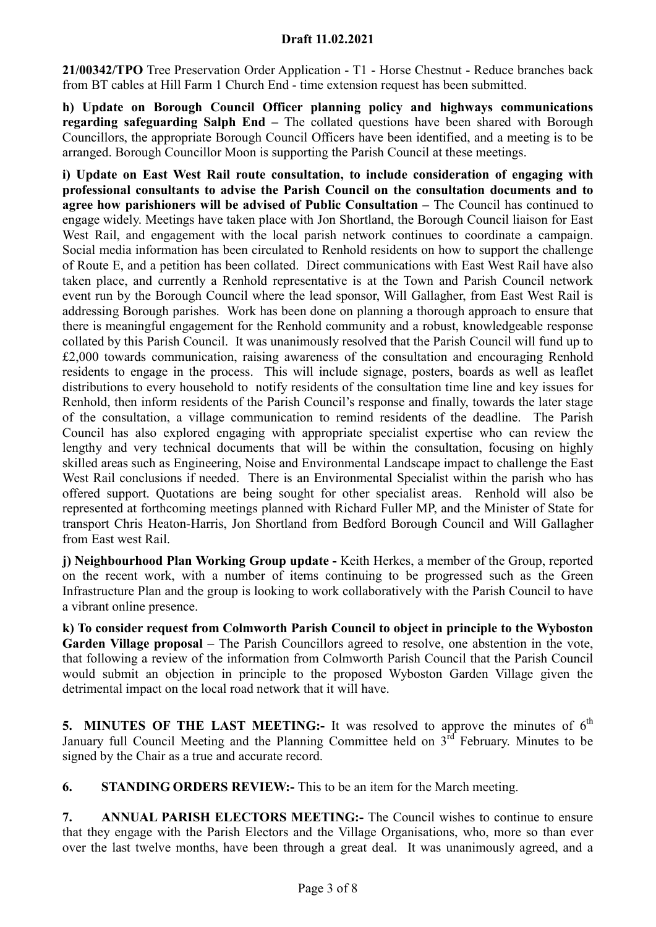21/00342/TPO Tree Preservation Order Application - T1 - Horse Chestnut - Reduce branches back from BT cables at Hill Farm 1 Church End - time extension request has been submitted.

h) Update on Borough Council Officer planning policy and highways communications regarding safeguarding Salph End – The collated questions have been shared with Borough Councillors, the appropriate Borough Council Officers have been identified, and a meeting is to be arranged. Borough Councillor Moon is supporting the Parish Council at these meetings.

i) Update on East West Rail route consultation, to include consideration of engaging with professional consultants to advise the Parish Council on the consultation documents and to agree how parishioners will be advised of Public Consultation – The Council has continued to engage widely. Meetings have taken place with Jon Shortland, the Borough Council liaison for East West Rail, and engagement with the local parish network continues to coordinate a campaign. Social media information has been circulated to Renhold residents on how to support the challenge of Route E, and a petition has been collated. Direct communications with East West Rail have also taken place, and currently a Renhold representative is at the Town and Parish Council network event run by the Borough Council where the lead sponsor, Will Gallagher, from East West Rail is addressing Borough parishes. Work has been done on planning a thorough approach to ensure that there is meaningful engagement for the Renhold community and a robust, knowledgeable response collated by this Parish Council. It was unanimously resolved that the Parish Council will fund up to £2,000 towards communication, raising awareness of the consultation and encouraging Renhold residents to engage in the process. This will include signage, posters, boards as well as leaflet distributions to every household to notify residents of the consultation time line and key issues for Renhold, then inform residents of the Parish Council's response and finally, towards the later stage of the consultation, a village communication to remind residents of the deadline. The Parish Council has also explored engaging with appropriate specialist expertise who can review the lengthy and very technical documents that will be within the consultation, focusing on highly skilled areas such as Engineering, Noise and Environmental Landscape impact to challenge the East West Rail conclusions if needed. There is an Environmental Specialist within the parish who has offered support. Quotations are being sought for other specialist areas. Renhold will also be represented at forthcoming meetings planned with Richard Fuller MP, and the Minister of State for transport Chris Heaton-Harris, Jon Shortland from Bedford Borough Council and Will Gallagher from East west Rail.

j) Neighbourhood Plan Working Group update - Keith Herkes, a member of the Group, reported on the recent work, with a number of items continuing to be progressed such as the Green Infrastructure Plan and the group is looking to work collaboratively with the Parish Council to have a vibrant online presence.

k) To consider request from Colmworth Parish Council to object in principle to the Wyboston Garden Village proposal – The Parish Councillors agreed to resolve, one abstention in the vote, that following a review of the information from Colmworth Parish Council that the Parish Council would submit an objection in principle to the proposed Wyboston Garden Village given the detrimental impact on the local road network that it will have.

5. MINUTES OF THE LAST MEETING:- It was resolved to approve the minutes of  $6<sup>th</sup>$ January full Council Meeting and the Planning Committee held on  $3<sup>rd</sup>$  February. Minutes to be signed by the Chair as a true and accurate record.

6. STANDING ORDERS REVIEW:- This to be an item for the March meeting.

7. ANNUAL PARISH ELECTORS MEETING:- The Council wishes to continue to ensure that they engage with the Parish Electors and the Village Organisations, who, more so than ever over the last twelve months, have been through a great deal. It was unanimously agreed, and a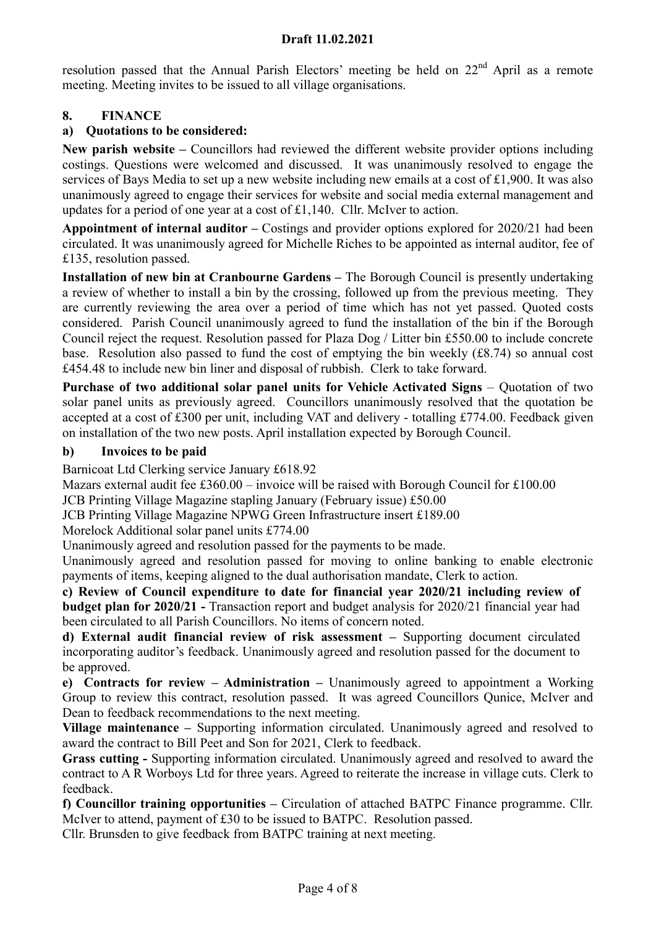resolution passed that the Annual Parish Electors' meeting be held on  $22<sup>nd</sup>$  April as a remote meeting. Meeting invites to be issued to all village organisations.

# 8. FINANCE

### a) Quotations to be considered:

New parish website – Councillors had reviewed the different website provider options including costings. Questions were welcomed and discussed. It was unanimously resolved to engage the services of Bays Media to set up a new website including new emails at a cost of £1,900. It was also unanimously agreed to engage their services for website and social media external management and updates for a period of one year at a cost of £1,140. Cllr. McIver to action.

Appointment of internal auditor – Costings and provider options explored for 2020/21 had been circulated. It was unanimously agreed for Michelle Riches to be appointed as internal auditor, fee of £135, resolution passed.

Installation of new bin at Cranbourne Gardens – The Borough Council is presently undertaking a review of whether to install a bin by the crossing, followed up from the previous meeting. They are currently reviewing the area over a period of time which has not yet passed. Quoted costs considered. Parish Council unanimously agreed to fund the installation of the bin if the Borough Council reject the request. Resolution passed for Plaza Dog / Litter bin £550.00 to include concrete base. Resolution also passed to fund the cost of emptying the bin weekly (£8.74) so annual cost £454.48 to include new bin liner and disposal of rubbish. Clerk to take forward.

Purchase of two additional solar panel units for Vehicle Activated Signs – Quotation of two solar panel units as previously agreed. Councillors unanimously resolved that the quotation be accepted at a cost of £300 per unit, including VAT and delivery - totalling £774.00. Feedback given on installation of the two new posts. April installation expected by Borough Council.

#### b) Invoices to be paid

Barnicoat Ltd Clerking service January £618.92

Mazars external audit fee £360.00 – invoice will be raised with Borough Council for £100.00

JCB Printing Village Magazine stapling January (February issue) £50.00

JCB Printing Village Magazine NPWG Green Infrastructure insert £189.00

Morelock Additional solar panel units £774.00

Unanimously agreed and resolution passed for the payments to be made.

Unanimously agreed and resolution passed for moving to online banking to enable electronic payments of items, keeping aligned to the dual authorisation mandate, Clerk to action.

c) Review of Council expenditure to date for financial year 2020/21 including review of budget plan for 2020/21 - Transaction report and budget analysis for 2020/21 financial year had been circulated to all Parish Councillors. No items of concern noted.

d) External audit financial review of risk assessment – Supporting document circulated incorporating auditor's feedback. Unanimously agreed and resolution passed for the document to be approved.

e) Contracts for review – Administration – Unanimously agreed to appointment a Working Group to review this contract, resolution passed. It was agreed Councillors Qunice, McIver and Dean to feedback recommendations to the next meeting.

Village maintenance – Supporting information circulated. Unanimously agreed and resolved to award the contract to Bill Peet and Son for 2021, Clerk to feedback.

Grass cutting - Supporting information circulated. Unanimously agreed and resolved to award the contract to A R Worboys Ltd for three years. Agreed to reiterate the increase in village cuts. Clerk to feedback.

f) Councillor training opportunities – Circulation of attached BATPC Finance programme. Cllr. McIver to attend, payment of £30 to be issued to BATPC. Resolution passed.

Cllr. Brunsden to give feedback from BATPC training at next meeting.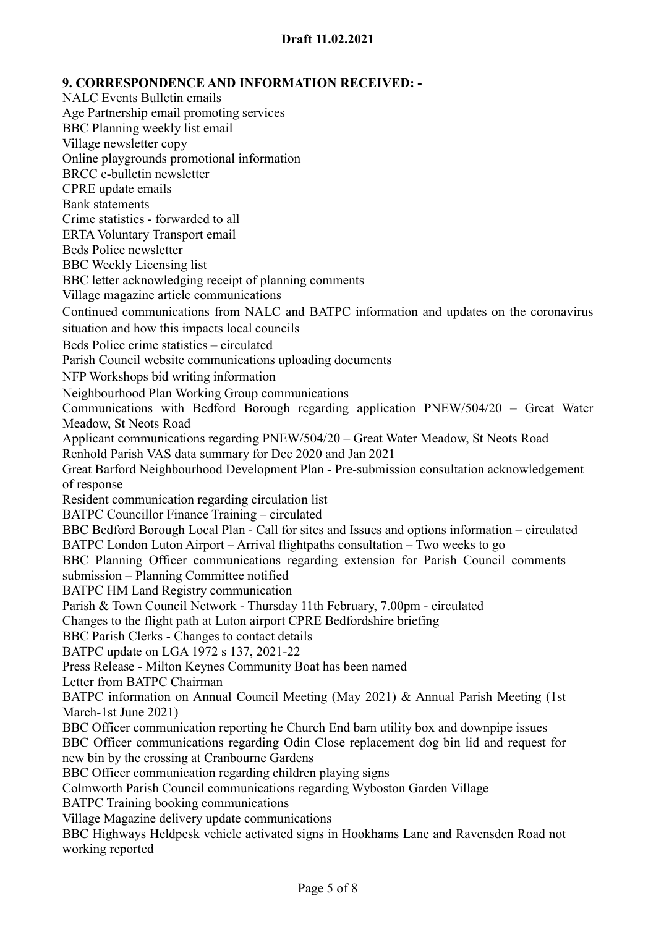9. CORRESPONDENCE AND INFORMATION RECEIVED: - NALC Events Bulletin emails Age Partnership email promoting services BBC Planning weekly list email Village newsletter copy Online playgrounds promotional information BRCC e-bulletin newsletter CPRE update emails Bank statements Crime statistics - forwarded to all ERTA Voluntary Transport email Beds Police newsletter BBC Weekly Licensing list BBC letter acknowledging receipt of planning comments Village magazine article communications Continued communications from NALC and BATPC information and updates on the coronavirus situation and how this impacts local councils Beds Police crime statistics – circulated Parish Council website communications uploading documents NFP Workshops bid writing information Neighbourhood Plan Working Group communications Communications with Bedford Borough regarding application PNEW/504/20 – Great Water Meadow, St Neots Road Applicant communications regarding PNEW/504/20 – Great Water Meadow, St Neots Road Renhold Parish VAS data summary for Dec 2020 and Jan 2021 Great Barford Neighbourhood Development Plan - Pre-submission consultation acknowledgement of response Resident communication regarding circulation list BATPC Councillor Finance Training – circulated BBC Bedford Borough Local Plan - Call for sites and Issues and options information – circulated BATPC London Luton Airport – Arrival flightpaths consultation – Two weeks to go BBC Planning Officer communications regarding extension for Parish Council comments submission – Planning Committee notified BATPC HM Land Registry communication Parish & Town Council Network - Thursday 11th February, 7.00pm - circulated Changes to the flight path at Luton airport CPRE Bedfordshire briefing BBC Parish Clerks - Changes to contact details BATPC update on LGA 1972 s 137, 2021-22 Press Release - Milton Keynes Community Boat has been named Letter from BATPC Chairman BATPC information on Annual Council Meeting (May 2021) & Annual Parish Meeting (1st March-1st June 2021) BBC Officer communication reporting he Church End barn utility box and downpipe issues BBC Officer communications regarding Odin Close replacement dog bin lid and request for new bin by the crossing at Cranbourne Gardens BBC Officer communication regarding children playing signs Colmworth Parish Council communications regarding Wyboston Garden Village BATPC Training booking communications Village Magazine delivery update communications BBC Highways Heldpesk vehicle activated signs in Hookhams Lane and Ravensden Road not working reported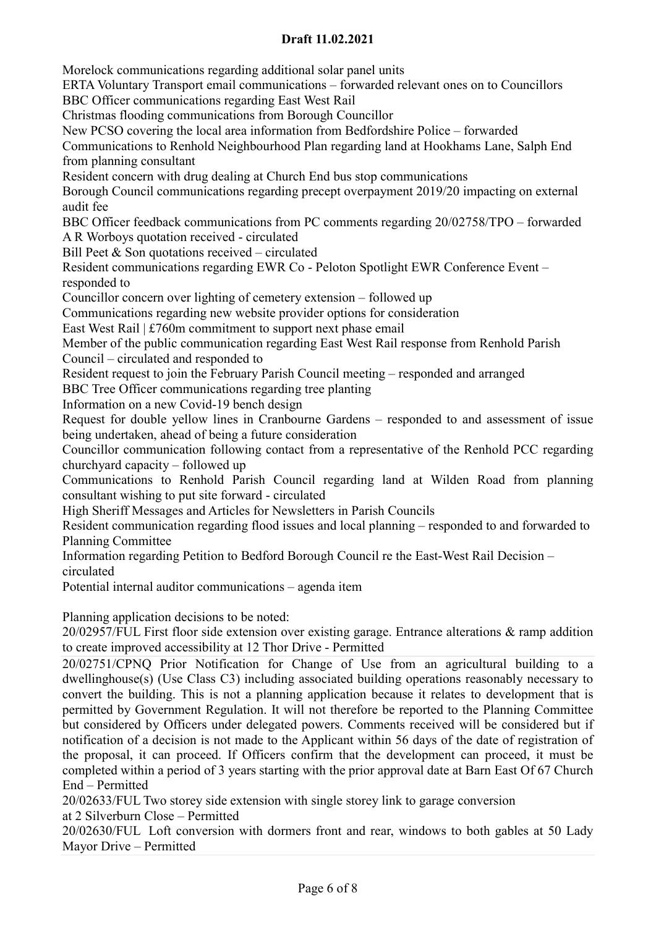Morelock communications regarding additional solar panel units ERTA Voluntary Transport email communications – forwarded relevant ones on to Councillors BBC Officer communications regarding East West Rail Christmas flooding communications from Borough Councillor New PCSO covering the local area information from Bedfordshire Police – forwarded Communications to Renhold Neighbourhood Plan regarding land at Hookhams Lane, Salph End from planning consultant Resident concern with drug dealing at Church End bus stop communications Borough Council communications regarding precept overpayment 2019/20 impacting on external audit fee BBC Officer feedback communications from PC comments regarding 20/02758/TPO – forwarded A R Worboys quotation received - circulated Bill Peet & Son quotations received – circulated Resident communications regarding EWR Co - Peloton Spotlight EWR Conference Event – responded to Councillor concern over lighting of cemetery extension – followed up Communications regarding new website provider options for consideration East West Rail  $\vert \pounds 760$ m commitment to support next phase email Member of the public communication regarding East West Rail response from Renhold Parish Council – circulated and responded to Resident request to join the February Parish Council meeting – responded and arranged BBC Tree Officer communications regarding tree planting Information on a new Covid-19 bench design Request for double yellow lines in Cranbourne Gardens – responded to and assessment of issue being undertaken, ahead of being a future consideration Councillor communication following contact from a representative of the Renhold PCC regarding churchyard capacity – followed up Communications to Renhold Parish Council regarding land at Wilden Road from planning consultant wishing to put site forward - circulated High Sheriff Messages and Articles for Newsletters in Parish Councils Resident communication regarding flood issues and local planning – responded to and forwarded to Planning Committee Information regarding Petition to Bedford Borough Council re the East-West Rail Decision – circulated Potential internal auditor communications – agenda item Planning application decisions to be noted:

20/02957/FUL First floor side extension over existing garage. Entrance alterations & ramp addition to create improved accessibility at 12 Thor Drive - Permitted

20/02751/CPNQ Prior Notification for Change of Use from an agricultural building to a dwellinghouse(s) (Use Class C3) including associated building operations reasonably necessary to convert the building. This is not a planning application because it relates to development that is permitted by Government Regulation. It will not therefore be reported to the Planning Committee but considered by Officers under delegated powers. Comments received will be considered but if notification of a decision is not made to the Applicant within 56 days of the date of registration of the proposal, it can proceed. If Officers confirm that the development can proceed, it must be completed within a period of 3 years starting with the prior approval date at Barn East Of 67 Church End – Permitted

20/02633/FUL Two storey side extension with single storey link to garage conversion at 2 Silverburn Close – Permitted

20/02630/FUL Loft conversion with dormers front and rear, windows to both gables at 50 Lady Mayor Drive – Permitted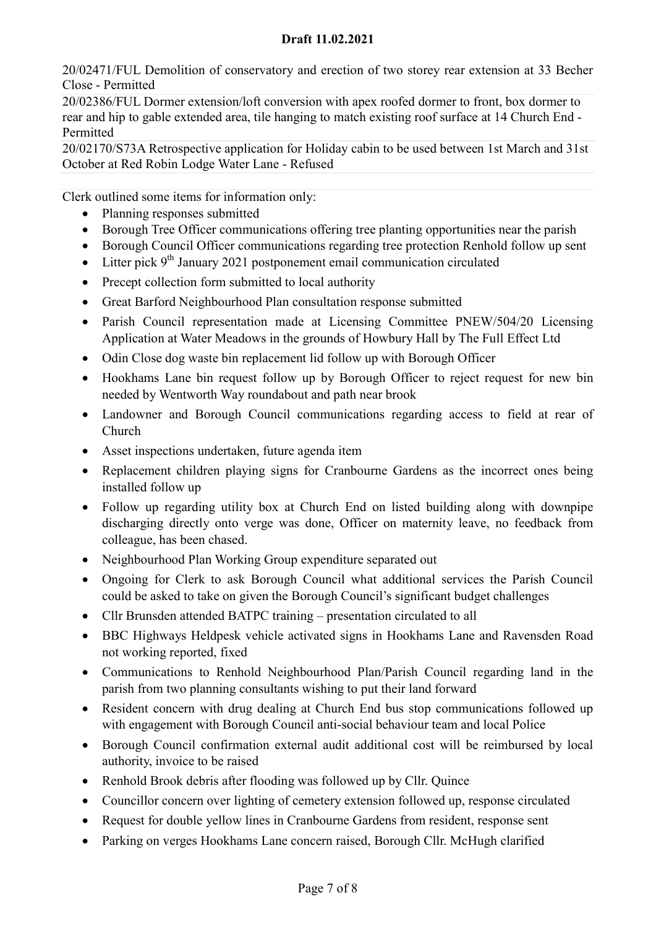20/02471/FUL Demolition of conservatory and erection of two storey rear extension at 33 Becher Close - Permitted

20/02386/FUL Dormer extension/loft conversion with apex roofed dormer to front, box dormer to rear and hip to gable extended area, tile hanging to match existing roof surface at 14 Church End - Permitted

20/02170/S73A Retrospective application for Holiday cabin to be used between 1st March and 31st October at Red Robin Lodge Water Lane - Refused

Clerk outlined some items for information only:

- Planning responses submitted
- Borough Tree Officer communications offering tree planting opportunities near the parish
- Borough Council Officer communications regarding tree protection Renhold follow up sent
- Litter pick  $9^{th}$  January 2021 postponement email communication circulated
- Precept collection form submitted to local authority
- Great Barford Neighbourhood Plan consultation response submitted
- Parish Council representation made at Licensing Committee PNEW/504/20 Licensing Application at Water Meadows in the grounds of Howbury Hall by The Full Effect Ltd
- Odin Close dog waste bin replacement lid follow up with Borough Officer
- Hookhams Lane bin request follow up by Borough Officer to reject request for new bin needed by Wentworth Way roundabout and path near brook
- Landowner and Borough Council communications regarding access to field at rear of Church
- Asset inspections undertaken, future agenda item
- Replacement children playing signs for Cranbourne Gardens as the incorrect ones being installed follow up
- Follow up regarding utility box at Church End on listed building along with downpipe discharging directly onto verge was done, Officer on maternity leave, no feedback from colleague, has been chased.
- Neighbourhood Plan Working Group expenditure separated out
- Ongoing for Clerk to ask Borough Council what additional services the Parish Council could be asked to take on given the Borough Council's significant budget challenges
- Cllr Brunsden attended BATPC training presentation circulated to all
- BBC Highways Heldpesk vehicle activated signs in Hookhams Lane and Ravensden Road not working reported, fixed
- Communications to Renhold Neighbourhood Plan/Parish Council regarding land in the parish from two planning consultants wishing to put their land forward
- Resident concern with drug dealing at Church End bus stop communications followed up with engagement with Borough Council anti-social behaviour team and local Police
- Borough Council confirmation external audit additional cost will be reimbursed by local authority, invoice to be raised
- Renhold Brook debris after flooding was followed up by Cllr. Ouince
- Councillor concern over lighting of cemetery extension followed up, response circulated
- Request for double yellow lines in Cranbourne Gardens from resident, response sent
- Parking on verges Hookhams Lane concern raised, Borough Cllr. McHugh clarified